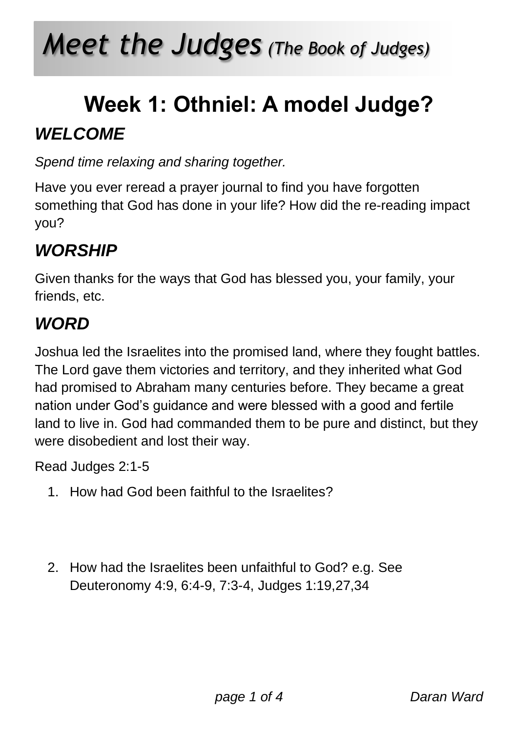# *Meet the Judges (The Book of Judges)*

### **Week 1: Othniel: A model Judge?** *WELCOME*

*Spend time relaxing and sharing together.*

Have you ever reread a prayer journal to find you have forgotten something that God has done in your life? How did the re-reading impact you?

### *WORSHIP*

Given thanks for the ways that God has blessed you, your family, your friends, etc.

#### *WORD*

Joshua led the Israelites into the promised land, where they fought battles. The Lord gave them victories and territory, and they inherited what God had promised to Abraham many centuries before. They became a great nation under God's guidance and were blessed with a good and fertile land to live in. God had commanded them to be pure and distinct, but they were disobedient and lost their way.

Read Judges 2:1-5

- 1. How had God been faithful to the Israelites?
- 2. How had the Israelites been unfaithful to God? e.g. See Deuteronomy 4:9, 6:4-9, 7:3-4, Judges 1:19,27,34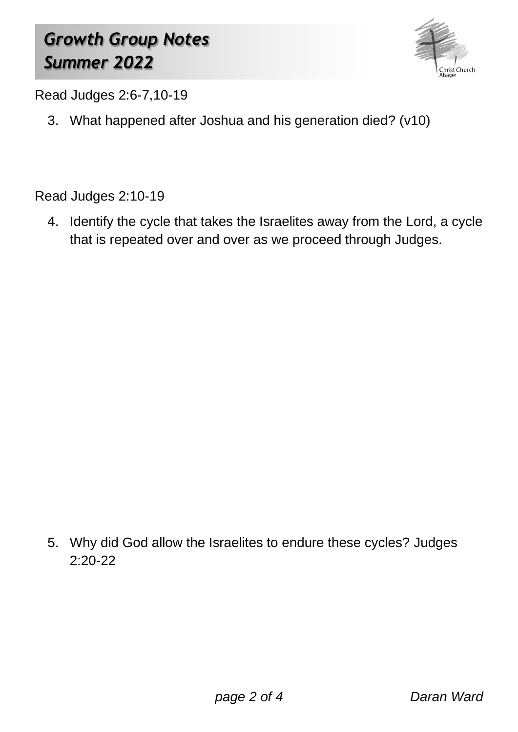### *Growth Group Notes Summer 2022*



Read Judges 2:6-7,10-19

3. What happened after Joshua and his generation died? (v10)

Read Judges 2:10-19

4. Identify the cycle that takes the Israelites away from the Lord, a cycle that is repeated over and over as we proceed through Judges.

5. Why did God allow the Israelites to endure these cycles? Judges 2:20-22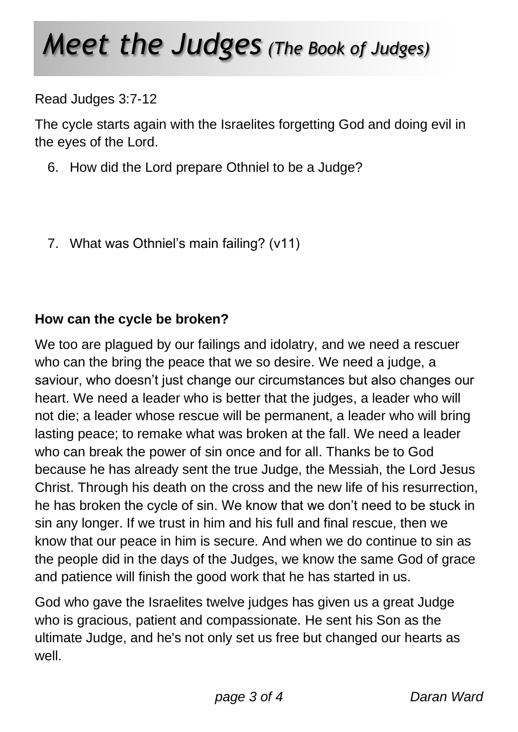## *Meet the Judges (The Book of Judges)*

Read Judges 3:7-12

The cycle starts again with the Israelites forgetting God and doing evil in the eyes of the Lord.

- 6. How did the Lord prepare Othniel to be a Judge?
- 7. What was Othniel's main failing? (v11)

#### **How can the cycle be broken?**

We too are plagued by our failings and idolatry, and we need a rescuer who can the bring the peace that we so desire. We need a judge, a saviour, who doesn't just change our circumstances but also changes our heart. We need a leader who is better that the judges, a leader who will not die; a leader whose rescue will be permanent, a leader who will bring lasting peace; to remake what was broken at the fall. We need a leader who can break the power of sin once and for all. Thanks be to God because he has already sent the true Judge, the Messiah, the Lord Jesus Christ. Through his death on the cross and the new life of his resurrection, he has broken the cycle of sin. We know that we don't need to be stuck in sin any longer. If we trust in him and his full and final rescue, then we know that our peace in him is secure. And when we do continue to sin as the people did in the days of the Judges, we know the same God of grace and patience will finish the good work that he has started in us.

God who gave the Israelites twelve judges has given us a great Judge who is gracious, patient and compassionate. He sent his Son as the ultimate Judge, and he's not only set us free but changed our hearts as well.